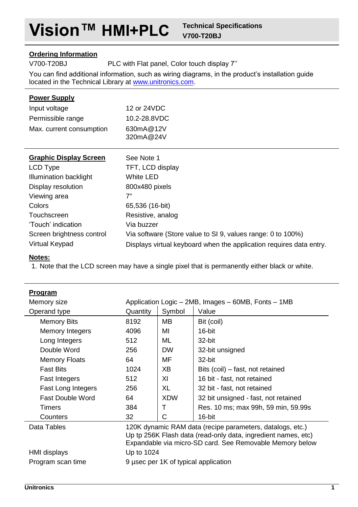## **Ordering Information**

V700-T20BJ PLC with Flat panel, Color touch display 7''

You can find additional information, such as wiring diagrams, in the product's installation guide located in the Technical Library at [www.unitronics.com.](http://www.unitronics.com/)

# **Power Supply**

| Input voltage            | 12 or 24VDC            |
|--------------------------|------------------------|
| Permissible range        | 10.2-28.8VDC           |
| Max. current consumption | 630mA@12V<br>320mA@24V |

| <b>Graphic Display Screen</b> | See Note 1                                                          |
|-------------------------------|---------------------------------------------------------------------|
| LCD Type                      | TFT, LCD display                                                    |
| Illumination backlight        | White LED                                                           |
| Display resolution            | 800x480 pixels                                                      |
| Viewing area                  | 7"                                                                  |
| Colors                        | 65,536 (16-bit)                                                     |
| Touchscreen                   | Resistive, analog                                                   |
| 'Touch' indication            | Via buzzer                                                          |
| Screen brightness control     | Via software (Store value to SI 9, values range: 0 to 100%)         |
| Virtual Keypad                | Displays virtual keyboard when the application requires data entry. |

## **Notes:**

1. Note that the LCD screen may have a single pixel that is permanently either black or white.

|          |            | Application Logic - 2MB, Images - 60MB, Fonts - 1MB                                                                                                                                    |
|----------|------------|----------------------------------------------------------------------------------------------------------------------------------------------------------------------------------------|
| Quantity | Symbol     | Value                                                                                                                                                                                  |
| 8192     | MВ         | Bit (coil)                                                                                                                                                                             |
| 4096     | MI         | 16-bit                                                                                                                                                                                 |
| 512      | ML         | 32-bit                                                                                                                                                                                 |
| 256      | <b>DW</b>  | 32-bit unsigned                                                                                                                                                                        |
| 64       | MF         | 32-bit                                                                                                                                                                                 |
| 1024     | XB         | Bits (coil) – fast, not retained                                                                                                                                                       |
| 512      | XI         | 16 bit - fast, not retained                                                                                                                                                            |
| 256      | XL         | 32 bit - fast, not retained                                                                                                                                                            |
| 64       | <b>XDW</b> | 32 bit unsigned - fast, not retained                                                                                                                                                   |
| 384      | т          | Res. 10 ms; max 99h, 59 min, 59.99s                                                                                                                                                    |
| 32       | C          | 16-bit                                                                                                                                                                                 |
|          |            | 120K dynamic RAM data (recipe parameters, datalogs, etc.)<br>Up tp 256K Flash data (read-only data, ingredient names, etc)<br>Expandable via micro-SD card. See Removable Memory below |
|          |            |                                                                                                                                                                                        |
|          |            |                                                                                                                                                                                        |
|          |            | Up to 1024<br>9 usec per 1K of typical application                                                                                                                                     |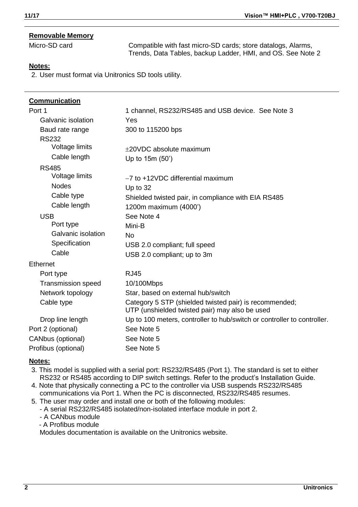## **Removable Memory**

Micro-SD card Compatible with fast micro-SD cards; store datalogs, Alarms, Trends, Data Tables, backup Ladder, HMI, and OS. See Not[e 2](#page-1-0)

### **Notes:**

<span id="page-1-0"></span>2. User must format via Unitronics SD tools utility.

| Communication             |                                                                                                          |
|---------------------------|----------------------------------------------------------------------------------------------------------|
| Port 1                    | 1 channel, RS232/RS485 and USB device. See Note 3                                                        |
| Galvanic isolation        | Yes                                                                                                      |
| Baud rate range           | 300 to 115200 bps                                                                                        |
| <b>RS232</b>              |                                                                                                          |
| Voltage limits            | +20VDC absolute maximum                                                                                  |
| Cable length              | Up to 15m (50')                                                                                          |
| <b>RS485</b>              |                                                                                                          |
| Voltage limits            | -7 to +12VDC differential maximum                                                                        |
| <b>Nodes</b>              | Up to 32                                                                                                 |
| Cable type                | Shielded twisted pair, in compliance with EIA RS485                                                      |
| Cable length              | 1200m maximum (4000')                                                                                    |
| <b>USB</b>                | See Note 4                                                                                               |
| Port type                 | Mini-B                                                                                                   |
| Galvanic isolation        | No                                                                                                       |
| Specification             | USB 2.0 compliant; full speed                                                                            |
| Cable                     | USB 2.0 compliant; up to 3m                                                                              |
| Ethernet                  |                                                                                                          |
| Port type                 | <b>RJ45</b>                                                                                              |
| <b>Transmission speed</b> | 10/100Mbps                                                                                               |
| Network topology          | Star, based on external hub/switch                                                                       |
| Cable type                | Category 5 STP (shielded twisted pair) is recommended;<br>UTP (unshielded twisted pair) may also be used |
| Drop line length          | Up to 100 meters, controller to hub/switch or controller to controller.                                  |
| Port 2 (optional)         | See Note 5                                                                                               |
| CANbus (optional)         | See Note 5                                                                                               |
| Profibus (optional)       | See Note 5                                                                                               |

#### **Notes:**

- <span id="page-1-1"></span>3. This model is supplied with a serial port: RS232/RS485 (Port 1). The standard is set to either RS232 or RS485 according to DIP switch settings. Refer to the product's Installation Guide.
- <span id="page-1-2"></span>4. Note that physically connecting a PC to the controller via USB suspends RS232/RS485 communications via Port 1. When the PC is disconnected, RS232/RS485 resumes.
- 5. The user may order and install one or both of the following modules:
	- A serial RS232/RS485 isolated/non-isolated interface module in port 2.
	- A CANbus module
	- A Profibus module

Modules documentation is available on the Unitronics website.